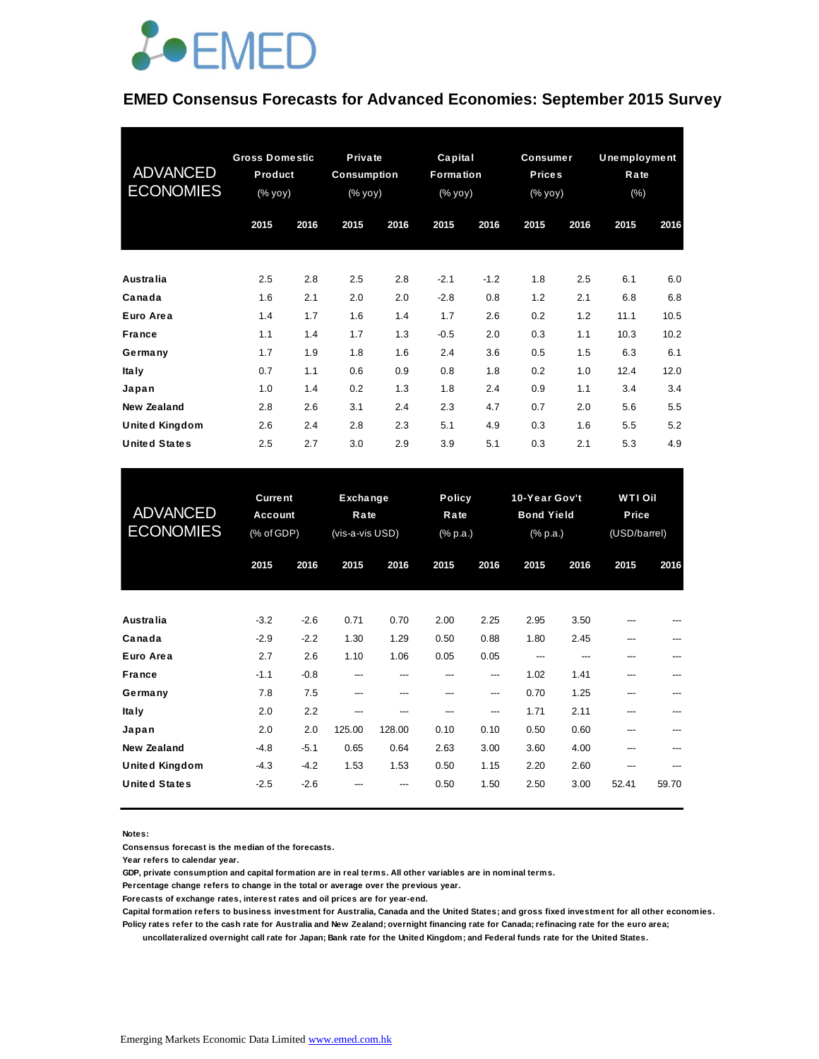

#### **EMED Consensus Forecasts for Advanced Economies: September 2015 Survey**

| <b>ADVANCED</b><br><b>ECONOMIES</b> | <b>Gross Domestic</b><br>Product<br>(% yoy) |      | Private<br><b>Consumption</b><br>(% yoy) |      | Capital<br>Formation<br>(% yoy) |        | Consumer<br><b>Prices</b><br>(% yoy) |      | Unemployment<br>Rate<br>(% ) |      |
|-------------------------------------|---------------------------------------------|------|------------------------------------------|------|---------------------------------|--------|--------------------------------------|------|------------------------------|------|
|                                     | 2015                                        | 2016 | 2015                                     | 2016 | 2015                            | 2016   | 2015                                 | 2016 | 2015                         | 2016 |
|                                     |                                             |      |                                          |      |                                 |        |                                      |      |                              |      |
| <b>Australia</b>                    | 2.5                                         | 2.8  | 2.5                                      | 2.8  | $-2.1$                          | $-1.2$ | 1.8                                  | 2.5  | 6.1                          | 6.0  |
| Canada                              | 1.6                                         | 2.1  | 2.0                                      | 2.0  | $-2.8$                          | 0.8    | 1.2                                  | 2.1  | 6.8                          | 6.8  |
| Euro Area                           | 1.4                                         | 1.7  | 1.6                                      | 1.4  | 1.7                             | 2.6    | 0.2                                  | 1.2  | 11.1                         | 10.5 |
| <b>France</b>                       | 1.1                                         | 1.4  | 1.7                                      | 1.3  | $-0.5$                          | 2.0    | 0.3                                  | 1.1  | 10.3                         | 10.2 |
| Germany                             | 1.7                                         | 1.9  | 1.8                                      | 1.6  | 2.4                             | 3.6    | 0.5                                  | 1.5  | 6.3                          | 6.1  |
| Ita Iy                              | 0.7                                         | 1.1  | 0.6                                      | 0.9  | 0.8                             | 1.8    | 0.2                                  | 1.0  | 12.4                         | 12.0 |
| Japan                               | 1.0                                         | 1.4  | 0.2                                      | 1.3  | 1.8                             | 2.4    | 0.9                                  | 1.1  | 3.4                          | 3.4  |
| New Zealand                         | 2.8                                         | 2.6  | 3.1                                      | 2.4  | 2.3                             | 4.7    | 0.7                                  | 2.0  | 5.6                          | 5.5  |
| <b>United Kingdom</b>               | 2.6                                         | 2.4  | 2.8                                      | 2.3  | 5.1                             | 4.9    | 0.3                                  | 1.6  | 5.5                          | 5.2  |
| <b>United States</b>                | 2.5                                         | 2.7  | 3.0                                      | 2.9  | 3.9                             | 5.1    | 0.3                                  | 2.1  | 5.3                          | 4.9  |

| <b>United States</b>                        | 2.5                                            | 2.7              | 3.0                                 | 2.9           | 3.9                               | 5.1          | 0.3                                                   | 2.1          | 5.3                              | 4.9   |
|---------------------------------------------|------------------------------------------------|------------------|-------------------------------------|---------------|-----------------------------------|--------------|-------------------------------------------------------|--------------|----------------------------------|-------|
| <b>ADVANCED</b><br><b>ECONOMIES</b>         | <b>Current</b><br><b>Account</b><br>(% of GDP) |                  | Exchange<br>Rate<br>(vis-a-vis USD) |               | <b>Policy</b><br>Rate<br>(% p.a.) |              | 10-Year Gov't<br><b>Bond Yield</b><br>$(%$ $(% p.a.)$ |              | WTI Oil<br>Price<br>(USD/barrel) |       |
|                                             | 2015                                           | 2016             | 2015                                | 2016          | 2015                              | 2016         | 2015                                                  | 2016         | 2015                             | 2016  |
| Australia                                   | $-3.2$                                         | $-2.6$           | 0.71                                | 0.70          | 2.00                              | 2.25         | 2.95                                                  | 3.50         |                                  |       |
| Canada<br>Euro Area                         | $-2.9$<br>2.7                                  | $-2.2$<br>2.6    | 1.30<br>1.10                        | 1.29<br>1.06  | 0.50<br>0.05                      | 0.88<br>0.05 | 1.80<br>---                                           | 2.45<br>---  | ---<br>---                       |       |
| <b>France</b><br>Germany                    | $-1.1$<br>7.8                                  | $-0.8$<br>7.5    | ---<br>---                          | ---<br>---    | ---<br>---                        | ---<br>---   | 1.02<br>0.70                                          | 1.41<br>1.25 | ---<br>---                       | ---   |
| <b>Italy</b><br>Japan                       | 2.0<br>2.0                                     | 2.2<br>2.0       | ---<br>125.00                       | ---<br>128.00 | ---<br>0.10                       | ---<br>0.10  | 1.71<br>0.50                                          | 2.11<br>0.60 | ---<br>---                       |       |
| <b>New Zealand</b><br><b>United Kingdom</b> | $-4.8$<br>$-4.3$                               | $-5.1$<br>$-4.2$ | 0.65<br>1.53                        | 0.64<br>1.53  | 2.63<br>0.50                      | 3.00<br>1.15 | 3.60<br>2.20                                          | 4.00<br>2.60 | ---<br>---                       |       |
| <b>United States</b>                        | $-2.5$                                         | $-2.6$           |                                     |               | 0.50                              | 1.50         | 2.50                                                  | 3.00         | 52.41                            | 59.70 |

**Notes:** 

**Consensus forecast is the median of the forecasts.**

**Year refers to calendar year.**

**GDP, private consumption and capital formation are in real terms. All other variables are in nominal terms.**

**Percentage change refers to change in the total or average over the previous year.**

**Forecasts of exchange rates, interest rates and oil prices are for year-end.**

**Capital formation refers to business investment for Australia, Canada and the United States; and gross fixed investment for all other economies. Policy rates refer to the cash rate for Australia and New Zealand; overnight financing rate for Canada; refinacing rate for the euro area;** 

 **uncollateralized overnight call rate for Japan; Bank rate for the United Kingdom; and Federal funds rate for the United States.**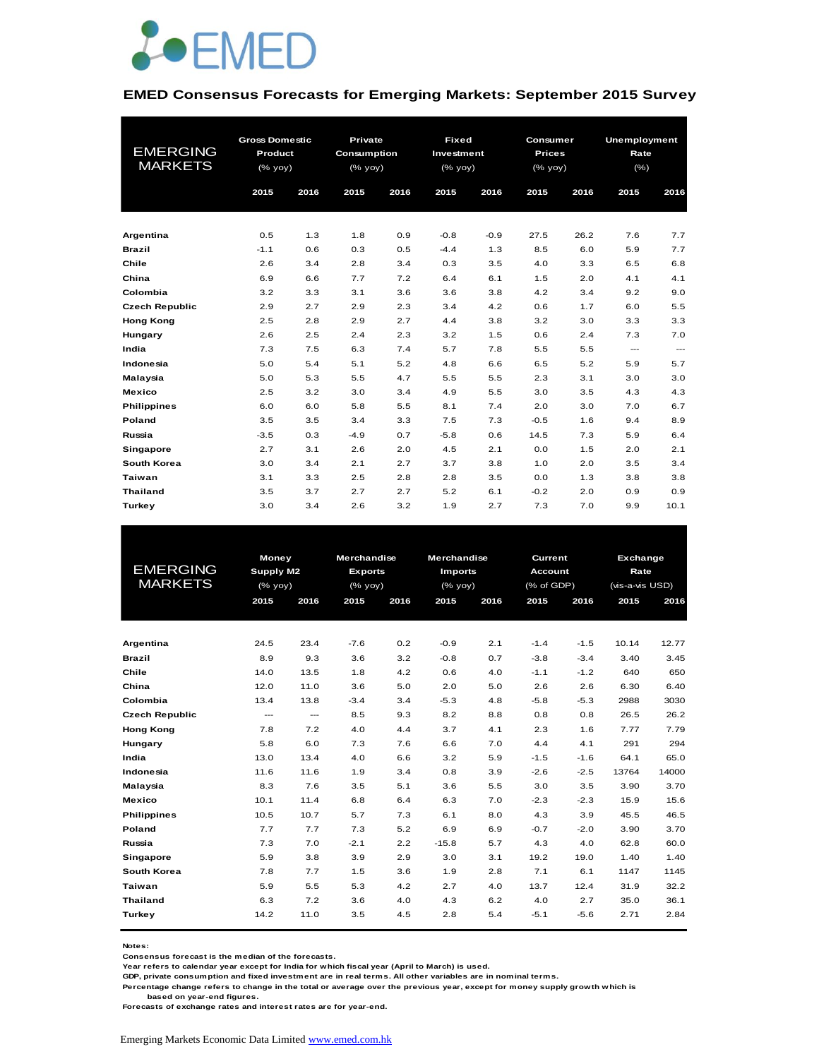

#### **EMED Consensus Forecasts for Emerging Markets: September 2015 Survey**

|                       | <b>Gross Domestic</b> |      | Private                                                            |      |            | <b>Fixed</b><br>Consumer |                                                                    |      | <b>Unemployment</b> |          |
|-----------------------|-----------------------|------|--------------------------------------------------------------------|------|------------|--------------------------|--------------------------------------------------------------------|------|---------------------|----------|
| <b>EMERGING</b>       | Product               |      | Consumption                                                        |      | Investment |                          | <b>Prices</b>                                                      |      | Rate                |          |
| <b>MARKETS</b>        | (% yoy)               |      | $(% \mathsf{Y}^{\prime }\mathsf{Y}^{\prime }\mathsf{Y}^{\prime })$ |      | (% yoy)    |                          | $(% \mathsf{Y}^{\prime }\mathsf{Y}^{\prime }\mathsf{Y}^{\prime })$ |      | $(\% )$             |          |
|                       |                       |      |                                                                    |      |            |                          |                                                                    |      |                     |          |
|                       | 2015                  | 2016 | 2015                                                               | 2016 | 2015       | 2016                     | 2015                                                               | 2016 | 2015                | 2016     |
|                       |                       |      |                                                                    |      |            |                          |                                                                    |      |                     |          |
| Argentina             | 0.5                   | 1.3  | 1.8                                                                | 0.9  | $-0.8$     | $-0.9$                   | 27.5                                                               | 26.2 | 7.6                 | 7.7      |
| <b>Brazil</b>         | $-1.1$                | 0.6  | 0.3                                                                | 0.5  | $-4.4$     | 1.3                      | 8.5                                                                | 6.0  | 5.9                 | 7.7      |
| Chile                 | 2.6                   | 3.4  | 2.8                                                                | 3.4  | 0.3        | 3.5                      | 4.0                                                                | 3.3  | 6.5                 | 6.8      |
| China                 | 6.9                   | 6.6  | 7.7                                                                | 7.2  | 6.4        | 6.1                      | 1.5                                                                | 2.0  | 4.1                 | 4.1      |
| Colombia              | 3.2                   | 3.3  | 3.1                                                                | 3.6  | 3.6        | 3.8                      | 4.2                                                                | 3.4  | 9.2                 | 9.0      |
| <b>Czech Republic</b> | 2.9                   | 2.7  | 2.9                                                                | 2.3  | 3.4        | 4.2                      | 0.6                                                                | 1.7  | 6.0                 | 5.5      |
| <b>Hong Kong</b>      | 2.5                   | 2.8  | 2.9                                                                | 2.7  | 4.4        | 3.8                      | 3.2                                                                | 3.0  | 3.3                 | 3.3      |
| Hungary               | 2.6                   | 2.5  | 2.4                                                                | 2.3  | 3.2        | 1.5                      | 0.6                                                                | 2.4  | 7.3                 | 7.0      |
| India                 | 7.3                   | 7.5  | 6.3                                                                | 7.4  | 5.7        | 7.8                      | 5.5                                                                | 5.5  | ---                 | $\cdots$ |
| Indonesia             | 5.0                   | 5.4  | 5.1                                                                | 5.2  | 4.8        | 6.6                      | 6.5                                                                | 5.2  | 5.9                 | 5.7      |
| Malaysia              | 5.0                   | 5.3  | 5.5                                                                | 4.7  | 5.5        | 5.5                      | 2.3                                                                | 3.1  | 3.0                 | 3.0      |
| <b>Mexico</b>         | 2.5                   | 3.2  | 3.0                                                                | 3.4  | 4.9        | 5.5                      | 3.0                                                                | 3.5  | 4.3                 | 4.3      |
| <b>Philippines</b>    | 6.0                   | 6.0  | 5.8                                                                | 5.5  | 8.1        | 7.4                      | 2.0                                                                | 3.0  | 7.0                 | 6.7      |
| Poland                | 3.5                   | 3.5  | 3.4                                                                | 3.3  | 7.5        | 7.3                      | $-0.5$                                                             | 1.6  | 9.4                 | 8.9      |
| Russia                | $-3.5$                | 0.3  | $-4.9$                                                             | 0.7  | $-5.8$     | 0.6                      | 14.5                                                               | 7.3  | 5.9                 | 6.4      |
| Singapore             | 2.7                   | 3.1  | 2.6                                                                | 2.0  | 4.5        | 2.1                      | 0.0                                                                | 1.5  | 2.0                 | 2.1      |
| South Korea           | 3.0                   | 3.4  | 2.1                                                                | 2.7  | 3.7        | 3.8                      | 1.0                                                                | 2.0  | 3.5                 | 3.4      |
| Taiwan                | 3.1                   | 3.3  | 2.5                                                                | 2.8  | 2.8        | 3.5                      | 0.0                                                                | 1.3  | 3.8                 | 3.8      |
| <b>Thailand</b>       | 3.5                   | 3.7  | 2.7                                                                | 2.7  | 5.2        | 6.1                      | $-0.2$                                                             | 2.0  | 0.9                 | 0.9      |
| Turkey                | 3.0                   | 3.4  | 2.6                                                                | 3.2  | 1.9        | 2.7                      | 7.3                                                                | 7.0  | 9.9                 | 10.1     |

|                       | Money            |                | Merchandise    |      | <b>Merchandise</b> |      | <b>Current</b> |        | Exchange        |       |
|-----------------------|------------------|----------------|----------------|------|--------------------|------|----------------|--------|-----------------|-------|
| <b>EMERGING</b>       | <b>Supply M2</b> |                | <b>Exports</b> |      | <b>Imports</b>     |      | <b>Account</b> |        | Rate            |       |
| <b>MARKETS</b>        | $(%$ (% yoy)     |                | (% yoy)        |      | (% yoy)            |      | (% of GDP)     |        | (vis-a-vis USD) |       |
|                       | 2015             | 2016           | 2015           | 2016 | 2015               | 2016 | 2015           | 2016   | 2015            | 2016  |
|                       |                  |                |                |      |                    |      |                |        |                 |       |
| Argentina             | 24.5             | 23.4           | $-7.6$         | 0.2  | $-0.9$             | 2.1  | $-1.4$         | $-1.5$ | 10.14           | 12.77 |
| <b>Brazil</b>         | 8.9              | 9.3            | 3.6            | 3.2  | $-0.8$             | 0.7  | $-3.8$         | $-3.4$ | 3.40            | 3.45  |
| Chile                 | 14.0             | 13.5           | 1.8            | 4.2  | 0.6                | 4.0  | $-1.1$         | $-1.2$ | 640             | 650   |
| China                 | 12.0             | 11.0           | 3.6            | 5.0  | 2.0                | 5.0  | 2.6            | 2.6    | 6.30            | 6.40  |
| Colombia              | 13.4             | 13.8           | $-3.4$         | 3.4  | $-5.3$             | 4.8  | $-5.8$         | $-5.3$ | 2988            | 3030  |
| <b>Czech Republic</b> | $\cdots$         | $\overline{a}$ | 8.5            | 9.3  | 8.2                | 8.8  | 0.8            | 0.8    | 26.5            | 26.2  |
| <b>Hong Kong</b>      | 7.8              | 7.2            | 4.0            | 4.4  | 3.7                | 4.1  | 2.3            | 1.6    | 7.77            | 7.79  |
| Hungary               | 5.8              | 6.0            | 7.3            | 7.6  | 6.6                | 7.0  | 4.4            | 4.1    | 291             | 294   |
| India                 | 13.0             | 13.4           | 4.0            | 6.6  | 3.2                | 5.9  | $-1.5$         | $-1.6$ | 64.1            | 65.0  |
| Indonesia             | 11.6             | 11.6           | 1.9            | 3.4  | 0.8                | 3.9  | $-2.6$         | $-2.5$ | 13764           | 14000 |
| Malaysia              | 8.3              | 7.6            | 3.5            | 5.1  | 3.6                | 5.5  | 3.0            | 3.5    | 3.90            | 3.70  |
| <b>Mexico</b>         | 10.1             | 11.4           | 6.8            | 6.4  | 6.3                | 7.0  | $-2.3$         | $-2.3$ | 15.9            | 15.6  |
| <b>Philippines</b>    | 10.5             | 10.7           | 5.7            | 7.3  | 6.1                | 8.0  | 4.3            | 3.9    | 45.5            | 46.5  |
| Poland                | 7.7              | 7.7            | 7.3            | 5.2  | 6.9                | 6.9  | $-0.7$         | $-2.0$ | 3.90            | 3.70  |
| Russia                | 7.3              | 7.0            | $-2.1$         | 2.2  | $-15.8$            | 5.7  | 4.3            | 4.0    | 62.8            | 60.0  |
| Singapore             | 5.9              | 3.8            | 3.9            | 2.9  | 3.0                | 3.1  | 19.2           | 19.0   | 1.40            | 1.40  |
| South Korea           | 7.8              | 7.7            | 1.5            | 3.6  | 1.9                | 2.8  | 7.1            | 6.1    | 1147            | 1145  |
| Taiwan                | 5.9              | 5.5            | 5.3            | 4.2  | 2.7                | 4.0  | 13.7           | 12.4   | 31.9            | 32.2  |
| <b>Thailand</b>       | 6.3              | 7.2            | 3.6            | 4.0  | 4.3                | 6.2  | 4.0            | 2.7    | 35.0            | 36.1  |
| Turkey                | 14.2             | 11.0           | 3.5            | 4.5  | 2.8                | 5.4  | $-5.1$         | $-5.6$ | 2.71            | 2.84  |
|                       |                  |                |                |      |                    |      |                |        |                 |       |

**Notes:** 

**Consensus forecast is the median of the forecasts.**

**Year refers to calendar year except for India for which fiscal year (April to March) is used.**

GDP, private consumption and fixed investment are in real terms. All other variables are in nominal terms.<br>Percentage change refers to change in the total or average over the previous year, except for money supply growth w

 **based on year-end figures.**

**Forecasts of exchange rates and interest rates are for year-end.**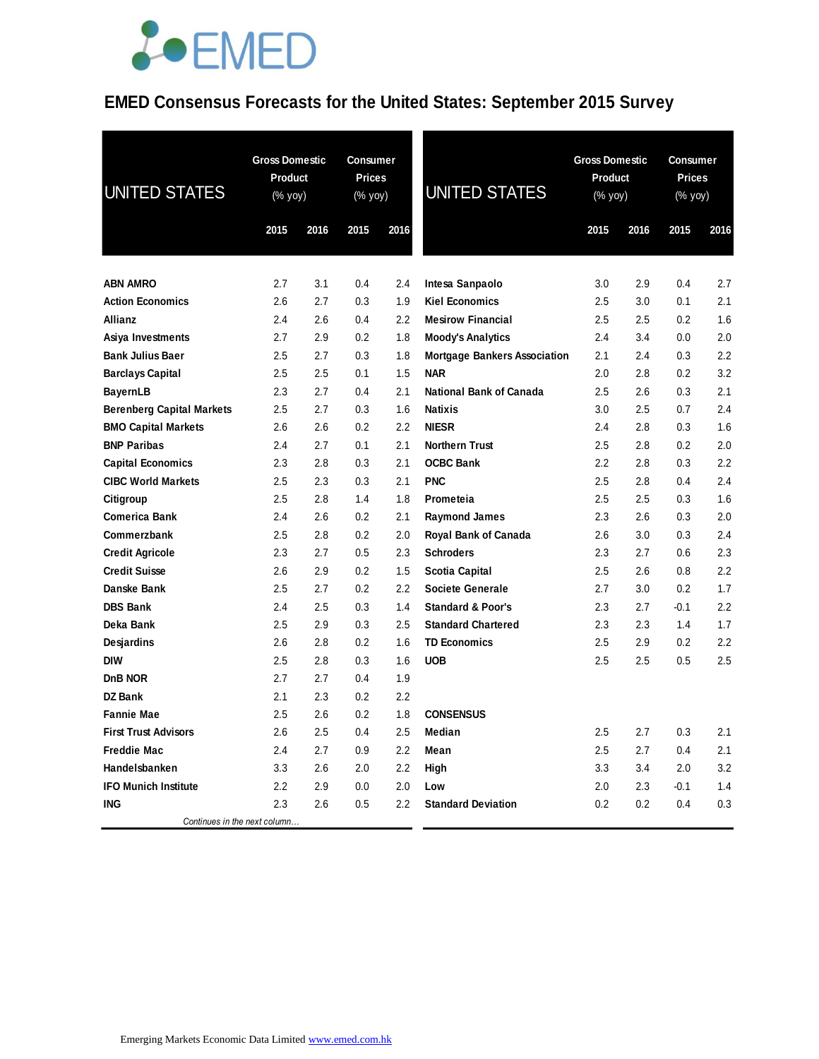#### **EMED Consensus Forecasts for the United States: September 2015 Survey**

| <b>UNITED STATES</b>                                |            | <b>Gross Domestic</b><br>Consumer<br><b>Product</b><br><b>Prices</b><br>(% yoy)<br>(% yoy) |            |            | <b>UNITED STATES</b>                              | <b>Gross Domestic</b><br><b>Product</b><br>(% yoy) |            | Consumer<br><b>Prices</b><br>(% yoy) |      |
|-----------------------------------------------------|------------|--------------------------------------------------------------------------------------------|------------|------------|---------------------------------------------------|----------------------------------------------------|------------|--------------------------------------|------|
|                                                     | 2015       | 2016                                                                                       | 2015       | 2016       |                                                   | 2015                                               | 2016       | 2015                                 | 2016 |
| <b>ABN AMRO</b>                                     | 2.7        | 3.1                                                                                        | 0.4        | 2.4        |                                                   | 3.0                                                | 2.9        | 0.4                                  | 2.7  |
| <b>Action Economics</b>                             | 2.6        | 2.7                                                                                        | 0.3        | 1.9        | Intesa Sanpaolo<br><b>Kiel Economics</b>          | 2.5                                                | 3.0        | 0.1                                  | 2.1  |
| <b>Allianz</b>                                      | 2.4        | 2.6                                                                                        | 0.4        | 2.2        | <b>Mesirow Financial</b>                          | 2.5                                                | 2.5        | 0.2                                  | 1.6  |
|                                                     | 2.7        | 2.9                                                                                        | 0.2        | 1.8        |                                                   | 2.4                                                | 3.4        | 0.0                                  | 2.0  |
| Asiya Investments                                   |            |                                                                                            |            |            | <b>Moody's Analytics</b>                          |                                                    |            |                                      | 2.2  |
| <b>Bank Julius Baer</b>                             | 2.5        | 2.7                                                                                        | 0.3        | 1.8<br>1.5 | <b>Mortgage Bankers Association</b><br><b>NAR</b> | 2.1                                                | 2.4        | 0.3                                  | 3.2  |
| <b>Barclays Capital</b>                             | 2.5<br>2.3 | 2.5<br>2.7                                                                                 | 0.1<br>0.4 | 2.1        | <b>National Bank of Canada</b>                    | 2.0<br>2.5                                         | 2.8<br>2.6 | 0.2<br>0.3                           | 2.1  |
| <b>BayernLB</b><br><b>Berenberg Capital Markets</b> | 2.5        | 2.7                                                                                        | 0.3        | 1.6        | <b>Natixis</b>                                    | 3.0                                                | 2.5        | 0.7                                  | 2.4  |
| <b>BMO Capital Markets</b>                          | 2.6        | 2.6                                                                                        | 0.2        | 2.2        | <b>NIESR</b>                                      | 2.4                                                | 2.8        | 0.3                                  | 1.6  |
| <b>BNP Paribas</b>                                  | 2.4        | 2.7                                                                                        | 0.1        | 2.1        | <b>Northern Trust</b>                             | 2.5                                                | 2.8        | 0.2                                  | 2.0  |
| <b>Capital Economics</b>                            | 2.3        | 2.8                                                                                        | 0.3        | 2.1        | <b>OCBC Bank</b>                                  | 2.2                                                | 2.8        | 0.3                                  | 2.2  |
| <b>CIBC World Markets</b>                           | 2.5        | 2.3                                                                                        | 0.3        | 2.1        | <b>PNC</b>                                        | 2.5                                                | 2.8        | 0.4                                  | 2.4  |
| Citigroup                                           | 2.5        | 2.8                                                                                        | 1.4        | 1.8        | Prometeia                                         | 2.5                                                | 2.5        | 0.3                                  | 1.6  |
| <b>Comerica Bank</b>                                | 2.4        | 2.6                                                                                        | 0.2        | 2.1        | <b>Raymond James</b>                              | 2.3                                                | 2.6        | 0.3                                  | 2.0  |
| Commerzbank                                         | 2.5        | 2.8                                                                                        | 0.2        | 2.0        | <b>Royal Bank of Canada</b>                       | 2.6                                                | 3.0        | 0.3                                  | 2.4  |
| <b>Credit Agricole</b>                              | 2.3        | 2.7                                                                                        | 0.5        | 2.3        | <b>Schroders</b>                                  | 2.3                                                | 2.7        | 0.6                                  | 2.3  |
| <b>Credit Suisse</b>                                | 2.6        | 2.9                                                                                        | 0.2        | 1.5        | <b>Scotia Capital</b>                             | 2.5                                                | 2.6        | 0.8                                  | 2.2  |
| Danske Bank                                         | 2.5        | 2.7                                                                                        | 0.2        | 2.2        | <b>Societe Generale</b>                           | 2.7                                                | 3.0        | 0.2                                  | 1.7  |
| <b>DBS Bank</b>                                     | 2.4        | 2.5                                                                                        | 0.3        | 1.4        | <b>Standard &amp; Poor's</b>                      | 2.3                                                | 2.7        | $-0.1$                               | 2.2  |
| Deka Bank                                           | 2.5        | 2.9                                                                                        | 0.3        | 2.5        | <b>Standard Chartered</b>                         | 2.3                                                | 2.3        | 1.4                                  | 1.7  |
| Desjardins                                          | 2.6        | 2.8                                                                                        | 0.2        | 1.6        | <b>TD Economics</b>                               | 2.5                                                | 2.9        | 0.2                                  | 2.2  |
| <b>DIW</b>                                          | 2.5        | 2.8                                                                                        | 0.3        | 1.6        | <b>UOB</b>                                        | 2.5                                                | 2.5        | 0.5                                  | 2.5  |
| <b>DnB NOR</b>                                      | 2.7        | 2.7                                                                                        | 0.4        | 1.9        |                                                   |                                                    |            |                                      |      |
| <b>DZ Bank</b>                                      | 2.1        | 2.3                                                                                        | 0.2        | 2.2        |                                                   |                                                    |            |                                      |      |
| <b>Fannie Mae</b>                                   | 2.5        | 2.6                                                                                        | 0.2        | 1.8        | <b>CONSENSUS</b>                                  |                                                    |            |                                      |      |
| <b>First Trust Advisors</b>                         | 2.6        | 2.5                                                                                        | 0.4        | 2.5        | <b>Median</b>                                     | 2.5                                                | 2.7        | 0.3                                  | 2.1  |
| <b>Freddie Mac</b>                                  | 2.4        | 2.7                                                                                        | 0.9        | 2.2        | Mean                                              | 2.5                                                | 2.7        | 0.4                                  | 2.1  |
| Handelsbanken                                       | 3.3        | 2.6                                                                                        | 2.0        | 2.2        | High                                              | 3.3                                                | 3.4        | 2.0                                  | 3.2  |
| <b>IFO Munich Institute</b>                         | 2.2        | 2.9                                                                                        | 0.0        | 2.0        | Low                                               | 2.0                                                | 2.3        | $-0.1$                               | 1.4  |
| <b>ING</b>                                          | 2.3        | 2.6                                                                                        | 0.5        | 2.2        | <b>Standard Deviation</b>                         | 0.2                                                | 0.2        | 0.4                                  | 0.3  |
| Continues in the next column                        |            |                                                                                            |            |            |                                                   |                                                    |            |                                      |      |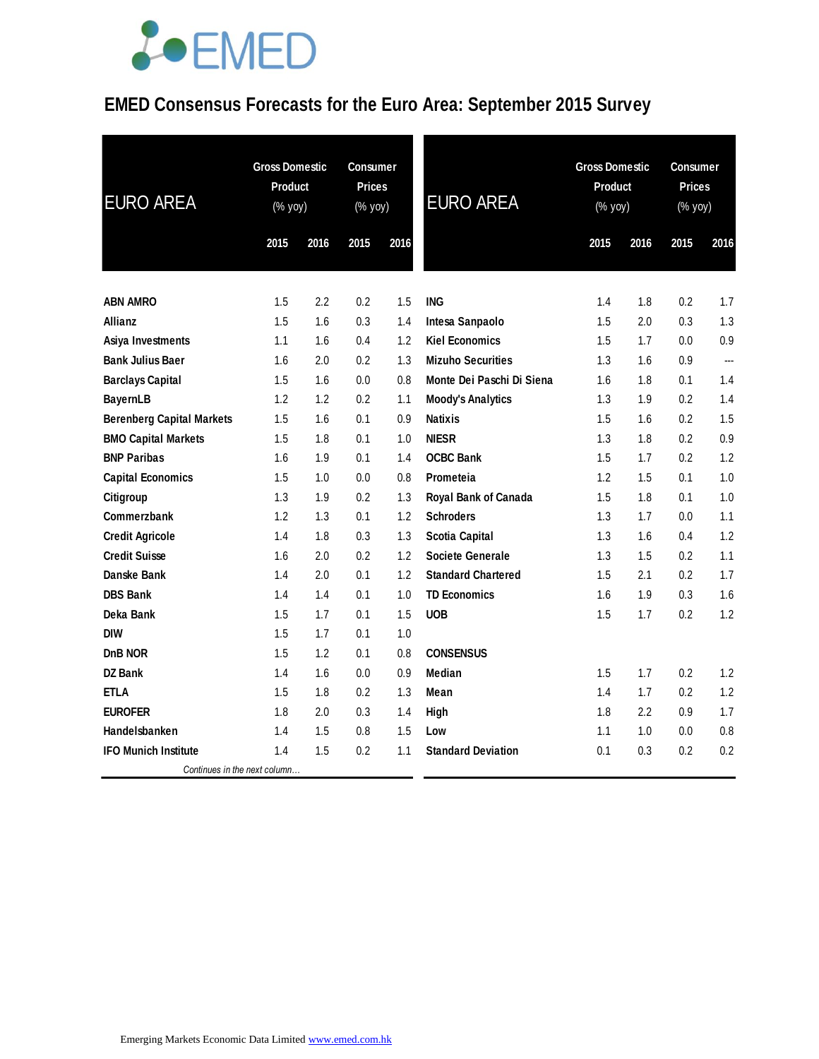### **EMED Consensus Forecasts for the Euro Area: September 2015 Survey**

| <b>EURO AREA</b>                 | <b>Gross Domestic</b><br>Product<br>(% yoy) |      | <b>Consumer</b><br><b>Prices</b><br>(% yoy) |      | <b>EURO AREA</b>          | <b>Gross Domestic</b><br>Product<br>(% yoy) |      | <b>Consumer</b><br><b>Prices</b><br>(% yoy) | 2016 |  |
|----------------------------------|---------------------------------------------|------|---------------------------------------------|------|---------------------------|---------------------------------------------|------|---------------------------------------------|------|--|
|                                  | 2015                                        | 2016 | 2015                                        | 2016 |                           | 2015                                        | 2016 | 2015                                        |      |  |
|                                  |                                             |      |                                             |      |                           |                                             |      |                                             |      |  |
| <b>ABN AMRO</b>                  | 1.5                                         | 2.2  | 0.2                                         | 1.5  | <b>ING</b>                | 1.4                                         | 1.8  | 0.2                                         | 1.7  |  |
| <b>Allianz</b>                   | 1.5                                         | 1.6  | 0.3                                         | 1.4  | Intesa Sanpaolo           | 1.5                                         | 2.0  | 0.3                                         | 1.3  |  |
| Asiya Investments                | 1.1                                         | 1.6  | 0.4                                         | 1.2  | <b>Kiel Economics</b>     | 1.5                                         | 1.7  | 0.0                                         | 0.9  |  |
| <b>Bank Julius Baer</b>          | 1.6                                         | 2.0  | 0.2                                         | 1.3  | <b>Mizuho Securities</b>  | 1.3                                         | 1.6  | 0.9                                         | ---  |  |
| <b>Barclays Capital</b>          | 1.5                                         | 1.6  | 0.0                                         | 0.8  | Monte Dei Paschi Di Siena | 1.6                                         | 1.8  | 0.1                                         | 1.4  |  |
| <b>BayernLB</b>                  | 1.2                                         | 1.2  | 0.2                                         | 1.1  | <b>Moody's Analytics</b>  | 1.3                                         | 1.9  | 0.2                                         | 1.4  |  |
| <b>Berenberg Capital Markets</b> | 1.5                                         | 1.6  | 0.1                                         | 0.9  | <b>Natixis</b>            | 1.5                                         | 1.6  | 0.2                                         | 1.5  |  |
| <b>BMO Capital Markets</b>       | 1.5                                         | 1.8  | 0.1                                         | 1.0  | <b>NIESR</b>              | 1.3                                         | 1.8  | 0.2                                         | 0.9  |  |
| <b>BNP Paribas</b>               | 1.6                                         | 1.9  | 0.1                                         | 1.4  | <b>OCBC Bank</b>          | 1.5                                         | 1.7  | 0.2                                         | 1.2  |  |
| <b>Capital Economics</b>         | 1.5                                         | 1.0  | 0.0                                         | 0.8  | Prometeia                 | 1.2                                         | 1.5  | 0.1                                         | 1.0  |  |
| Citigroup                        | 1.3                                         | 1.9  | 0.2                                         | 1.3  | Royal Bank of Canada      | 1.5                                         | 1.8  | 0.1                                         | 1.0  |  |
| Commerzbank                      | 1.2                                         | 1.3  | 0.1                                         | 1.2  | <b>Schroders</b>          | 1.3                                         | 1.7  | 0.0                                         | 1.1  |  |
| <b>Credit Agricole</b>           | 1.4                                         | 1.8  | 0.3                                         | 1.3  | <b>Scotia Capital</b>     | 1.3                                         | 1.6  | 0.4                                         | 1.2  |  |
| <b>Credit Suisse</b>             | 1.6                                         | 2.0  | 0.2                                         | 1.2  | <b>Societe Generale</b>   | 1.3                                         | 1.5  | 0.2                                         | 1.1  |  |
| Danske Bank                      | 1.4                                         | 2.0  | 0.1                                         | 1.2  | <b>Standard Chartered</b> | 1.5                                         | 2.1  | 0.2                                         | 1.7  |  |
| <b>DBS Bank</b>                  | 1.4                                         | 1.4  | 0.1                                         | 1.0  | <b>TD Economics</b>       | 1.6                                         | 1.9  | 0.3                                         | 1.6  |  |
| Deka Bank                        | 1.5                                         | 1.7  | 0.1                                         | 1.5  | <b>UOB</b>                | 1.5                                         | 1.7  | 0.2                                         | 1.2  |  |
| <b>DIW</b>                       | 1.5                                         | 1.7  | 0.1                                         | 1.0  |                           |                                             |      |                                             |      |  |
| DnB NOR                          | 1.5                                         | 1.2  | 0.1                                         | 0.8  | <b>CONSENSUS</b>          |                                             |      |                                             |      |  |
| <b>DZ Bank</b>                   | 1.4                                         | 1.6  | 0.0                                         | 0.9  | <b>Median</b>             | 1.5                                         | 1.7  | 0.2                                         | 1.2  |  |
| <b>ETLA</b>                      | 1.5                                         | 1.8  | 0.2                                         | 1.3  | Mean                      | 1.4                                         | 1.7  | 0.2                                         | 1.2  |  |
| <b>EUROFER</b>                   | 1.8                                         | 2.0  | 0.3                                         | 1.4  | High                      | 1.8                                         | 2.2  | 0.9                                         | 1.7  |  |
| <b>Handelsbanken</b>             | 1.4                                         | 1.5  | 0.8                                         | 1.5  | Low                       | 1.1                                         | 1.0  | 0.0                                         | 0.8  |  |
| <b>IFO Munich Institute</b>      | 1.4                                         | 1.5  | 0.2                                         | 1.1  | <b>Standard Deviation</b> | 0.1                                         | 0.3  | 0.2                                         | 0.2  |  |
| Continues in the next column     |                                             |      |                                             |      |                           |                                             |      |                                             |      |  |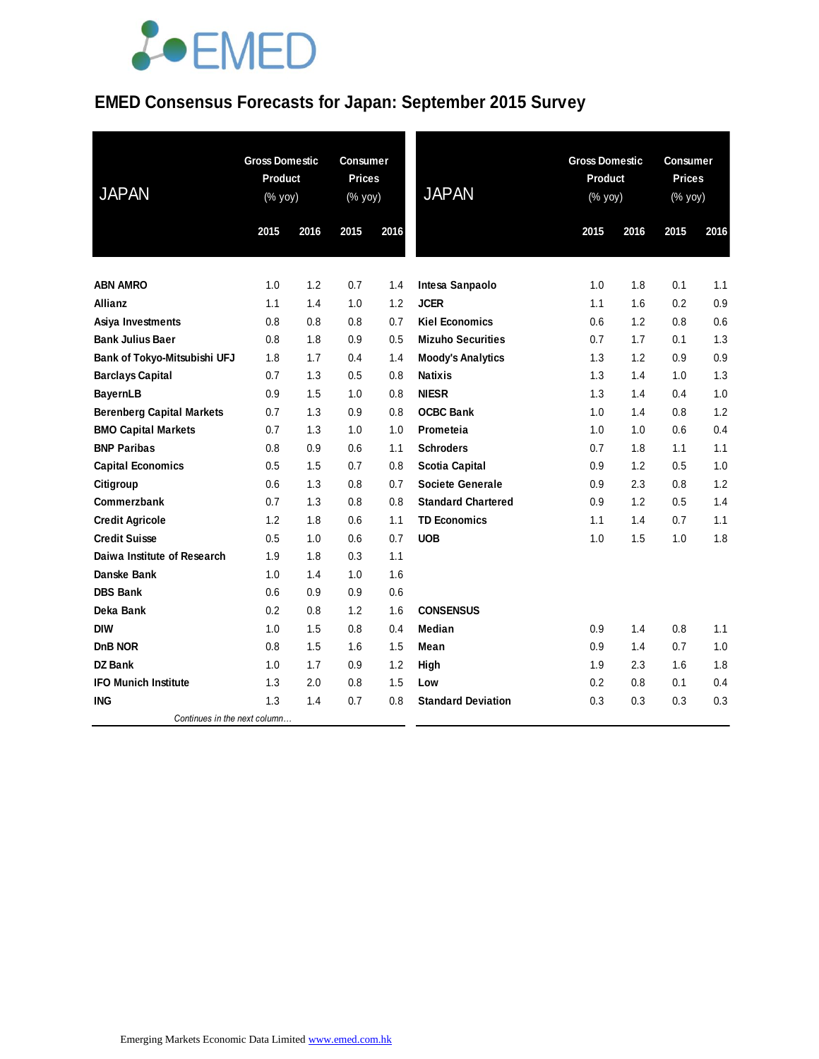#### **EMED Consensus Forecasts for Japan: September 2015 Survey**

| <b>JAPAN</b>                     | <b>Gross Domestic</b><br><b>Product</b><br>(% yoy) |      | <b>Consumer</b><br><b>Prices</b><br>(% yoy) |      | <b>JAPAN</b>              | <b>Gross Domestic</b><br><b>Product</b><br>(% yoy) |      | <b>Consumer</b><br><b>Prices</b><br>(% yoy) | 2016<br>1.1 |  |
|----------------------------------|----------------------------------------------------|------|---------------------------------------------|------|---------------------------|----------------------------------------------------|------|---------------------------------------------|-------------|--|
|                                  | 2015                                               | 2016 | 2015                                        | 2016 |                           | 2015                                               | 2016 | 2015                                        |             |  |
|                                  |                                                    |      |                                             |      |                           |                                                    |      |                                             |             |  |
| <b>ABN AMRO</b>                  | 1.0                                                | 1.2  | 0.7                                         | 1.4  | Intesa Sanpaolo           | 1.0                                                | 1.8  | 0.1                                         |             |  |
| <b>Allianz</b>                   | 1.1                                                | 1.4  | 1.0                                         | 1.2  | <b>JCER</b>               | 1.1                                                | 1.6  | 0.2                                         | 0.9         |  |
| Asiya Investments                | 0.8                                                | 0.8  | 0.8                                         | 0.7  | <b>Kiel Economics</b>     | 0.6                                                | 1.2  | 0.8                                         | 0.6         |  |
| <b>Bank Julius Baer</b>          | 0.8                                                | 1.8  | 0.9                                         | 0.5  | <b>Mizuho Securities</b>  | 0.7                                                | 1.7  | 0.1                                         | 1.3         |  |
| Bank of Tokyo-Mitsubishi UFJ     | 1.8                                                | 1.7  | 0.4                                         | 1.4  | <b>Moody's Analytics</b>  | 1.3                                                | 1.2  | 0.9                                         | 0.9         |  |
| <b>Barclays Capital</b>          | 0.7                                                | 1.3  | 0.5                                         | 0.8  | <b>Natixis</b>            | 1.3                                                | 1.4  | 1.0                                         | 1.3         |  |
| <b>BayernLB</b>                  | 0.9                                                | 1.5  | 1.0                                         | 0.8  | <b>NIESR</b>              | 1.3                                                | 1.4  | 0.4                                         | 1.0         |  |
| <b>Berenberg Capital Markets</b> | 0.7                                                | 1.3  | 0.9                                         | 0.8  | <b>OCBC Bank</b>          | 1.0                                                | 1.4  | 0.8                                         | 1.2         |  |
| <b>BMO Capital Markets</b>       | 0.7                                                | 1.3  | 1.0                                         | 1.0  | Prometeia                 | 1.0                                                | 1.0  | 0.6                                         | 0.4         |  |
| <b>BNP Paribas</b>               | 0.8                                                | 0.9  | 0.6                                         | 1.1  | <b>Schroders</b>          | 0.7                                                | 1.8  | 1.1                                         | 1.1         |  |
| <b>Capital Economics</b>         | 0.5                                                | 1.5  | 0.7                                         | 0.8  | Scotia Capital            | 0.9                                                | 1.2  | 0.5                                         | 1.0         |  |
| Citigroup                        | 0.6                                                | 1.3  | 0.8                                         | 0.7  | <b>Societe Generale</b>   | 0.9                                                | 2.3  | 0.8                                         | 1.2         |  |
| Commerzbank                      | 0.7                                                | 1.3  | 0.8                                         | 0.8  | <b>Standard Chartered</b> | 0.9                                                | 1.2  | 0.5                                         | 1.4         |  |
| <b>Credit Agricole</b>           | 1.2                                                | 1.8  | 0.6                                         | 1.1  | <b>TD Economics</b>       | 1.1                                                | 1.4  | 0.7                                         | 1.1         |  |
| <b>Credit Suisse</b>             | 0.5                                                | 1.0  | 0.6                                         | 0.7  | <b>UOB</b>                | 1.0                                                | 1.5  | 1.0                                         | 1.8         |  |
| Daiwa Institute of Research      | 1.9                                                | 1.8  | 0.3                                         | 1.1  |                           |                                                    |      |                                             |             |  |
| Danske Bank                      | 1.0                                                | 1.4  | 1.0                                         | 1.6  |                           |                                                    |      |                                             |             |  |
| <b>DBS Bank</b>                  | 0.6                                                | 0.9  | 0.9                                         | 0.6  |                           |                                                    |      |                                             |             |  |
| Deka Bank                        | 0.2                                                | 0.8  | 1.2                                         | 1.6  | <b>CONSENSUS</b>          |                                                    |      |                                             |             |  |
| <b>DIW</b>                       | 1.0                                                | 1.5  | 0.8                                         | 0.4  | Median                    | 0.9                                                | 1.4  | 0.8                                         | 1.1         |  |
| DnB NOR                          | 0.8                                                | 1.5  | 1.6                                         | 1.5  | Mean                      | 0.9                                                | 1.4  | 0.7                                         | 1.0         |  |
| DZ Bank                          | 1.0                                                | 1.7  | 0.9                                         | 1.2  | High                      | 1.9                                                | 2.3  | 1.6                                         | 1.8         |  |
| <b>IFO Munich Institute</b>      | 1.3                                                | 2.0  | 0.8                                         | 1.5  | Low                       | 0.2                                                | 0.8  | 0.1                                         | 0.4         |  |
| ING                              | 1.3                                                | 1.4  | 0.7                                         | 0.8  | <b>Standard Deviation</b> | 0.3                                                | 0.3  | 0.3                                         | 0.3         |  |
| Continues in the next column     |                                                    |      |                                             |      |                           |                                                    |      |                                             |             |  |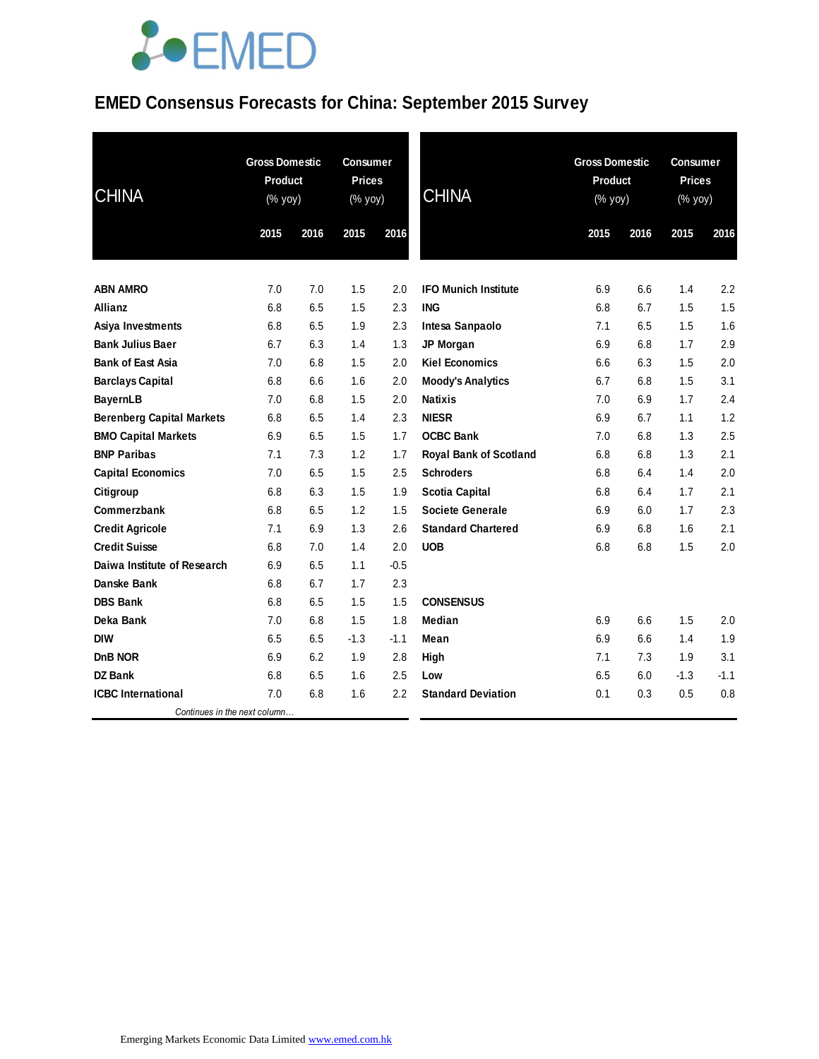### **EMED Consensus Forecasts for China: September 2015 Survey**

| <b>CHINA</b>                     | <b>Gross Domestic</b><br><b>Product</b><br>(% yoy) |      | <b>Consumer</b><br><b>Prices</b><br>(% yoy) |        | <b>CHINA</b>                  |      | <b>Gross Domestic</b><br>Product<br>(% yoy) |        | <b>Consumer</b><br><b>Prices</b><br>(% yoy) |  |
|----------------------------------|----------------------------------------------------|------|---------------------------------------------|--------|-------------------------------|------|---------------------------------------------|--------|---------------------------------------------|--|
|                                  | 2015                                               | 2016 | 2015                                        | 2016   |                               | 2015 | 2016                                        | 2015   | 2016                                        |  |
| <b>ABN AMRO</b>                  | 7.0                                                | 7.0  | 1.5                                         | 2.0    | <b>IFO Munich Institute</b>   | 6.9  | 6.6                                         | 1.4    | 2.2                                         |  |
| <b>Allianz</b>                   | 6.8                                                | 6.5  | 1.5                                         | 2.3    | <b>ING</b>                    | 6.8  | 6.7                                         | 1.5    | 1.5                                         |  |
| Asiya Investments                | 6.8                                                | 6.5  | 1.9                                         | 2.3    | Intesa Sanpaolo               | 7.1  | 6.5                                         | 1.5    | 1.6                                         |  |
| <b>Bank Julius Baer</b>          | 6.7                                                | 6.3  | 1.4                                         | 1.3    | JP Morgan                     | 6.9  | 6.8                                         | 1.7    | 2.9                                         |  |
| <b>Bank of East Asia</b>         | 7.0                                                | 6.8  | 1.5                                         | 2.0    | <b>Kiel Economics</b>         | 6.6  | 6.3                                         | 1.5    | 2.0                                         |  |
| <b>Barclays Capital</b>          | 6.8                                                | 6.6  | 1.6                                         | 2.0    | <b>Moody's Analytics</b>      | 6.7  | 6.8                                         | 1.5    | 3.1                                         |  |
| <b>BayernLB</b>                  | 7.0                                                | 6.8  | 1.5                                         | 2.0    | <b>Natixis</b>                | 7.0  | 6.9                                         | 1.7    | 2.4                                         |  |
| <b>Berenberg Capital Markets</b> | 6.8                                                | 6.5  | 1.4                                         | 2.3    | <b>NIESR</b>                  | 6.9  | 6.7                                         | 1.1    | 1.2                                         |  |
| <b>BMO Capital Markets</b>       | 6.9                                                | 6.5  | 1.5                                         | 1.7    | <b>OCBC Bank</b>              | 7.0  | 6.8                                         | 1.3    | 2.5                                         |  |
| <b>BNP Paribas</b>               | 7.1                                                | 7.3  | 1.2                                         | 1.7    | <b>Royal Bank of Scotland</b> | 6.8  | 6.8                                         | 1.3    | 2.1                                         |  |
| <b>Capital Economics</b>         | 7.0                                                | 6.5  | 1.5                                         | 2.5    | <b>Schroders</b>              | 6.8  | 6.4                                         | 1.4    | 2.0                                         |  |
| Citigroup                        | 6.8                                                | 6.3  | 1.5                                         | 1.9    | <b>Scotia Capital</b>         | 6.8  | 6.4                                         | 1.7    | 2.1                                         |  |
| Commerzbank                      | 6.8                                                | 6.5  | 1.2                                         | 1.5    | <b>Societe Generale</b>       | 6.9  | 6.0                                         | 1.7    | 2.3                                         |  |
| <b>Credit Agricole</b>           | 7.1                                                | 6.9  | 1.3                                         | 2.6    | <b>Standard Chartered</b>     | 6.9  | 6.8                                         | 1.6    | 2.1                                         |  |
| <b>Credit Suisse</b>             | 6.8                                                | 7.0  | 1.4                                         | 2.0    | <b>UOB</b>                    | 6.8  | 6.8                                         | 1.5    | 2.0                                         |  |
| Daiwa Institute of Research      | 6.9                                                | 6.5  | 1.1                                         | $-0.5$ |                               |      |                                             |        |                                             |  |
| <b>Danske Bank</b>               | 6.8                                                | 6.7  | 1.7                                         | 2.3    |                               |      |                                             |        |                                             |  |
| <b>DBS Bank</b>                  | 6.8                                                | 6.5  | 1.5                                         | 1.5    | <b>CONSENSUS</b>              |      |                                             |        |                                             |  |
| Deka Bank                        | 7.0                                                | 6.8  | 1.5                                         | 1.8    | Median                        | 6.9  | 6.6                                         | 1.5    | 2.0                                         |  |
| <b>DIW</b>                       | 6.5                                                | 6.5  | $-1.3$                                      | $-1.1$ | Mean                          | 6.9  | 6.6                                         | 1.4    | 1.9                                         |  |
| D <sub>n</sub> B NOR             | 6.9                                                | 6.2  | 1.9                                         | 2.8    | High                          | 7.1  | 7.3                                         | 1.9    | 3.1                                         |  |
| DZ Bank                          | 6.8                                                | 6.5  | 1.6                                         | 2.5    | Low                           | 6.5  | 6.0                                         | $-1.3$ | $-1.1$                                      |  |
| <b>ICBC</b> International        | 7.0                                                | 6.8  | 1.6                                         | 2.2    | <b>Standard Deviation</b>     | 0.1  | 0.3                                         | 0.5    | 0.8                                         |  |
| Continues in the next column     |                                                    |      |                                             |        |                               |      |                                             |        |                                             |  |